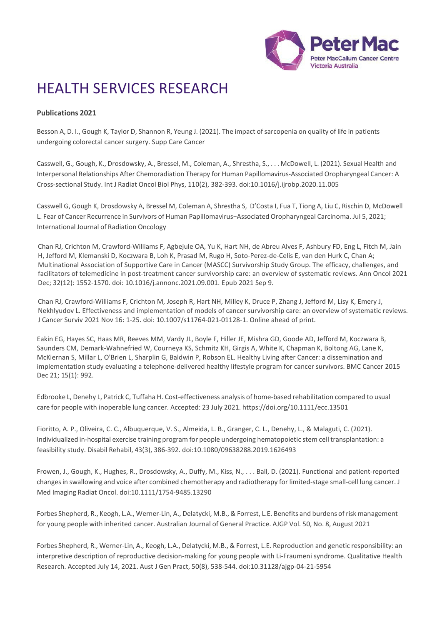

# HEALTH SERVICES RESEARCH

# **Publications 2021**

Besson A, D. I., Gough K, Taylor D, Shannon R, Yeung J. (2021). The impact of sarcopenia on quality of life in patients undergoing colorectal cancer surgery. Supp Care Cancer

Casswell, G., Gough, K., Drosdowsky, A., Bressel, M., Coleman, A., Shrestha, S., . . . McDowell, L. (2021). Sexual Health and Interpersonal Relationships After Chemoradiation Therapy for Human Papillomavirus-Associated Oropharyngeal Cancer: A Cross-sectional Study. Int J Radiat Oncol Biol Phys, 110(2), 382-393. doi:10.1016/j.ijrobp.2020.11.005

Casswell G, Gough K, Drosdowsky A, Bressel M, Coleman A, Shrestha S, D'Costa I, Fua T, Tiong A, Liu C, Rischin D, McDowell L. Fear of Cancer Recurrence in Survivors of Human Papillomavirus−Associated Oropharyngeal Carcinoma. Jul 5, 2021; International Journal of Radiation Oncology

Chan RJ, Crichton M, Crawford-Williams F, Agbejule OA, Yu K, Hart NH, de Abreu Alves F, Ashbury FD, Eng L, Fitch M, Jain H, Jefford M, Klemanski D, Koczwara B, Loh K, Prasad M, Rugo H, Soto-Perez-de-Celis E, van den Hurk C, Chan A; Multinational Association of Supportive Care in Cancer (MASCC) Survivorship Study Group. The efficacy, challenges, and facilitators of telemedicine in post-treatment cancer survivorship care: an overview of systematic reviews. Ann Oncol 2021 Dec; 32(12): 1552-1570. doi: 10.1016/j.annonc.2021.09.001. Epub 2021 Sep 9.

Chan RJ, Crawford-Williams F, Crichton M, Joseph R, Hart NH, Milley K, Druce P, Zhang J, Jefford M, Lisy K, Emery J, Nekhlyudov L. Effectiveness and implementation of models of cancer survivorship care: an overview of systematic reviews. J Cancer Surviv 2021 Nov 16: 1-25. doi: 10.1007/s11764-021-01128-1. Online ahead of print.

Eakin EG, Hayes SC, Haas MR, Reeves MM, Vardy JL, Boyle F, Hiller JE, Mishra GD, Goode AD, Jefford M, Koczwara B, Saunders CM, Demark-Wahnefried W, Courneya KS, Schmitz KH, Girgis A, White K, Chapman K, Boltong AG, Lane K, McKiernan S, Millar L, O'Brien L, Sharplin G, Baldwin P, Robson EL. Healthy Living after Cancer: a dissemination and implementation study evaluating a telephone-delivered healthy lifestyle program for cancer survivors. BMC Cancer 2015 Dec 21; 15(1): 992.

Edbrooke L, Denehy L, Patrick C, Tuffaha H. Cost-effectiveness analysis of home-based rehabilitation compared to usual care for people with inoperable lung cancer. Accepted: 23 July 2021. https://doi.org/10.1111/ecc.13501

Fioritto, A. P., Oliveira, C. C., Albuquerque, V. S., Almeida, L. B., Granger, C. L., Denehy, L., & Malaguti, C. (2021). Individualized in-hospital exercise training program for people undergoing hematopoietic stem cell transplantation: a feasibility study. Disabil Rehabil, 43(3), 386-392. doi:10.1080/09638288.2019.1626493

Frowen, J., Gough, K., Hughes, R., Drosdowsky, A., Duffy, M., Kiss, N., . . . Ball, D. (2021). Functional and patient-reported changesin swallowing and voice after combined chemotherapy and radiotherapy for limited-stage small-cell lung cancer. J Med Imaging Radiat Oncol. doi:10.1111/1754-9485.13290

Forbes Shepherd, R., Keogh, L.A., Werner-Lin, A., Delatycki, M.B., & Forrest, L.E. Benefits and burdens of risk management for young people with inherited cancer. Australian Journal of General Practice. AJGP Vol. 50, No. 8, August 2021

Forbes Shepherd, R., Werner-Lin, A., Keogh, L.A., Delatycki, M.B., & Forrest, L.E. Reproduction and genetic responsibility: an interpretive description of reproductive decision-making for young people with Li-Fraumeni syndrome. Qualitative Health Research. Accepted July 14, 2021. Aust J Gen Pract, 50(8), 538-544. doi:10.31128/ajgp-04-21-5954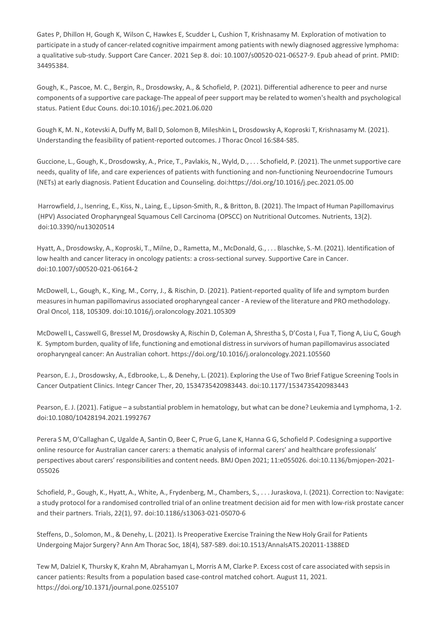Gates P, Dhillon H, Gough K, Wilson C, Hawkes E, Scudder L, Cushion T, Krishnasamy M. Exploration of motivation to participate in a study of cancer-related cognitive impairment among patients with newly diagnosed aggressive lymphoma: a qualitative sub-study. Support Care Cancer. 2021 Sep 8. doi: 10.1007/s00520-021-06527-9. Epub ahead of print. PMID: 34495384.

Gough, K., Pascoe, M. C., Bergin, R., Drosdowsky, A., & Schofield, P. (2021). Differential adherence to peer and nurse components of a supportive care package-The appeal of peersupport may be related to women's health and psychological status. Patient Educ Couns. doi:10.1016/j.pec.2021.06.020

Gough K, M. N., Kotevski A, Duffy M, Ball D, Solomon B, Mileshkin L, Drosdowsky A, Koproski T, Krishnasamy M. (2021). Understanding the feasibility of patient-reported outcomes. J Thorac Oncol 16:S84-S85.

Guccione, L., Gough, K., Drosdowsky, A., Price, T., Pavlakis, N., Wyld, D., . . . Schofield, P. (2021). The unmet supportive care needs, quality of life, and care experiences of patients with functioning and non-functioning Neuroendocrine Tumours (NETs) at early diagnosis. Patient Education and Counseling. doi:https://doi.org/10.1016/j.pec.2021.05.00

Harrowfield, J., Isenring, E., Kiss, N., Laing, E., Lipson-Smith, R., & Britton, B. (2021). The Impact of Human Papillomavirus (HPV) Associated Oropharyngeal Squamous Cell Carcinoma (OPSCC) on Nutritional Outcomes. Nutrients, 13(2). doi:10.3390/nu13020514

Hyatt, A., Drosdowsky, A., Koproski, T., Milne, D., Rametta, M., McDonald, G., . . . Blaschke, S.-M. (2021). Identification of low health and cancer literacy in oncology patients: a cross-sectional survey. Supportive Care in Cancer. doi:10.1007/s00520-021-06164-2

McDowell, L., Gough, K., King, M., Corry, J., & Rischin, D. (2021). Patient-reported quality of life and symptom burden measuresin human papillomavirus associated oropharyngeal cancer - A review of the literature and PRO methodology. Oral Oncol, 118, 105309. doi:10.1016/j.oraloncology.2021.105309

McDowell L, Casswell G, Bressel M, Drosdowsky A, Rischin D, Coleman A, Shrestha S, D'Costa I, Fua T, Tiong A, Liu C, Gough K. Symptom burden, quality of life, functioning and emotional distressin survivors of human papillomavirus associated oropharyngeal cancer: An Australian cohort. https://doi.org/10.1016/j.oraloncology.2021.105560

Pearson, E. J., Drosdowsky, A., Edbrooke, L., & Denehy, L. (2021). Exploring the Use of Two Brief Fatigue Screening Toolsin Cancer Outpatient Clinics. Integr Cancer Ther, 20, 1534735420983443. doi:10.1177/1534735420983443

Pearson, E. J. (2021). Fatigue – a substantial problem in hematology, but what can be done? Leukemia and Lymphoma, 1-2. doi:10.1080/10428194.2021.1992767

Perera S M, O'Callaghan C, Ugalde A, Santin O, Beer C, Prue G, Lane K, Hanna G G, Schofield P. Codesigning a supportive online resource for Australian cancer carers: a thematic analysis of informal carers' and healthcare professionals' perspectives about carers' responsibilities and content needs. BMJ Open 2021; 11:e055026. doi:10.1136/bmjopen-2021-055026

Schofield, P., Gough, K., Hyatt, A., White, A., Frydenberg, M., Chambers, S., . . . Juraskova, I. (2021). Correction to: Navigate: a study protocol for a randomised controlled trial of an online treatment decision aid for men with low-risk prostate cancer and their partners. Trials, 22(1), 97. doi:10.1186/s13063-021-05070-6

Steffens, D., Solomon, M., & Denehy, L. (2021). Is Preoperative Exercise Training the New Holy Grail for Patients Undergoing Major Surgery? Ann Am Thorac Soc, 18(4), 587-589. doi:10.1513/AnnalsATS.202011-1388ED

Tew M, Dalziel K, Thursky K, Krahn M, Abrahamyan L, Morris A M, Clarke P. Excess cost of care associated with sepsisin cancer patients: Results from a population based case-control matched cohort. August 11, 2021. <https://doi.org/10.1371/journal.pone.0255107>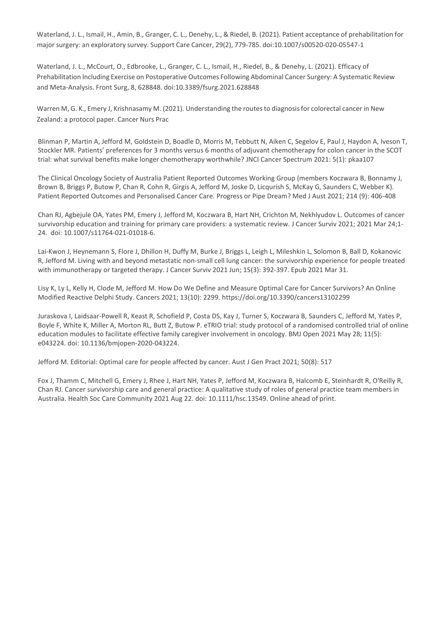Waterland, J. L., Ismail, H., Amin, B., Granger, C. L., Denehy, L., & Riedel, B. (2021). Patient acceptance of prehabilitation for major surgery: an exploratory survey. Support Care Cancer, 29(2), 779-785. doi:10.1007/s00520-020-05547-1

Waterland, J. L., McCourt, O., Edbrooke, L., Granger, C. L., Ismail, H., Riedel, B., & Denehy, L. (2021). Efficacy of Prehabilitation Including Exercise on Postoperative Outcomes Following Abdominal Cancer Surgery: A Systematic Review and Meta-Analysis. Front Surg, 8, 628848. doi:10.3389/fsurg.2021.628848

Warren M, G. K., Emery J, Krishnasamy M. (2021). Understanding the routes to diagnosis for colorectal cancer in New Zealand: a protocol paper. Cancer Nurs Prac

Blinman P, Martin A, Jefford M, Goldstein D, Boadle D, Morris M, Tebbutt N, Aiken C, Segelov E, Paul J, Haydon A, Iveson T, Stockler MR. Patients' preferences for 3 months versus 6 months of adjuvant chemotherapy for colon cancer in the SCOT trial: what survival benefits make longer chemotherapy worthwhile? JNCI Cancer Spectrum 2021: 5(1): pkaa107

The Clinical Oncology Society of Australia Patient Reported Outcomes Working Group (members Koczwara B, Bonnamy J, Brown B, Briggs P, Butow P, Chan R, Cohn R, Girgis A, Jefford M, Joske D, Licqurish S, McKay G, Saunders C, Webber K). Patient Reported Outcomes and Personalised Cancer Care. Progress or Pipe Dream? Med J Aust 2021; 214 (9): 406-408

Chan RJ, Agbejule OA, Yates PM, Emery J, Jefford M, Koczwara B, Hart NH, Crichton M, Nekhlyudov L. Outcomes of cancer survivorship education and training for primary care providers: a systematic review. J Cancer Surviv 2021; 2021 Mar 24;1- 24. doi: 10.1007/s11764-021-01018-6.

Lai-Kwon J, Heynemann S, Flore J, Dhillon H, Duffy M, Burke J, Briggs L, Leigh L, Mileshkin L, Solomon B, Ball D, Kokanovic R, Jefford M. Living with and beyond metastatic non-small cell lung cancer: the survivorship experience for people treated with immunotherapy or targeted therapy. J Cancer Surviv 2021 Jun; 15(3): 392-397. Epub 2021 Mar 31.

Lisy K, Ly L, Kelly H, Clode M, Jefford M. How Do We Define and Measure Optimal Care for Cancer Survivors? An Online Modified Reactive Delphi Study. Cancers 2021; 13(10): 2299.<https://doi.org/10.3390/cancers13102299>

Juraskova I, Laidsaar-Powell R, Keast R, Schofield P, Costa DS, Kay J, Turner S, Koczwara B, Saunders C, Jefford M, Yates P, Boyle F, White K, Miller A, Morton RL, Butt Z, Butow P. eTRIO trial: study protocol of a randomised controlled trial of online education modules to facilitate effective family caregiver involvement in oncology. BMJ Open 2021 May 28; 11(5): e043224. doi: 10.1136/bmjopen-2020-043224.

Jefford M. Editorial: Optimal care for people affected by cancer. Aust J Gen Pract 2021; 50(8): 517

Fox J, Thamm C, Mitchell G, Emery J, Rhee J, Hart NH, Yates P, Jefford M, Koczwara B, Halcomb E, Steinhardt R, O'Reilly R, Chan RJ. Cancer survivorship care and general practice: A qualitative study of roles of general practice team members in Australia. Health Soc Care Community 2021 Aug 22. doi: 10.1111/hsc.13549. Online ahead of print.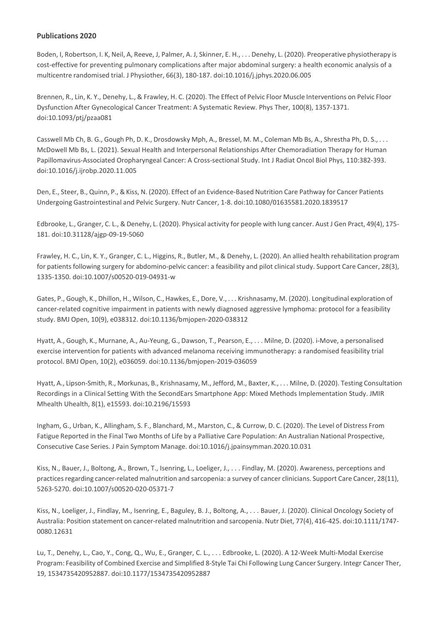Boden, I, Robertson, I. K, Neil, A, Reeve, J, Palmer, A. J, Skinner, E. H., . . . Denehy, L. (2020). Preoperative physiotherapy is cost-effective for preventing pulmonary complications after major abdominal surgery: a health economic analysis of a multicentre randomised trial. J Physiother, 66(3), 180-187. doi:10.1016/j.jphys.2020.06.005

Brennen, R., Lin, K. Y., Denehy, L., & Frawley, H. C. (2020). The Effect of Pelvic Floor Muscle Interventions on Pelvic Floor Dysfunction After Gynecological Cancer Treatment: A Systematic Review. Phys Ther, 100(8), 1357-1371. doi:10.1093/ptj/pzaa081

Casswell Mb Ch, B. G., Gough Ph, D. K., Drosdowsky Mph, A., Bressel, M. M., Coleman Mb Bs, A., Shrestha Ph, D. S., . . . McDowell Mb Bs, L. (2021). Sexual Health and Interpersonal Relationships After Chemoradiation Therapy for Human Papillomavirus-Associated Oropharyngeal Cancer: A Cross-sectional Study. Int J Radiat Oncol Biol Phys, 110:382-393. doi:10.1016/j.ijrobp.2020.11.005

Den, E., Steer, B., Quinn, P., &Kiss, N. (2020). Effect of an Evidence-Based Nutrition Care Pathway for Cancer Patients Undergoing Gastrointestinal and Pelvic Surgery. Nutr Cancer, 1-8. doi:10.1080/01635581.2020.1839517

Edbrooke, L., Granger, C. L., & Denehy, L. (2020). Physical activity for people with lung cancer. Aust J Gen Pract, 49(4), 175- 181. doi:10.31128/ajgp-09-19-5060

Frawley, H. C., Lin, K. Y., Granger, C. L., Higgins, R., Butler, M., & Denehy, L. (2020). An allied health rehabilitation program for patients following surgery for abdomino-pelvic cancer: a feasibility and pilot clinical study. Support Care Cancer, 28(3), 1335-1350. doi:10.1007/s00520-019-04931-w

Gates, P., Gough, K., Dhillon, H., Wilson, C., Hawkes, E., Dore, V., . . . Krishnasamy, M. (2020). Longitudinal exploration of cancer-related cognitive impairment in patients with newly diagnosed aggressive lymphoma: protocol for a feasibility study. BMJ Open, 10(9), e038312. doi:10.1136/bmjopen-2020-038312

Hyatt, A., Gough, K., Murnane, A., Au-Yeung, G., Dawson, T., Pearson, E., . . . Milne, D. (2020). i-Move, a personalised exercise intervention for patients with advanced melanoma receiving immunotherapy: a randomised feasibility trial protocol. BMJ Open, 10(2), e036059. doi:10.1136/bmjopen-2019-036059

Hyatt, A., Lipson-Smith, R., Morkunas, B., Krishnasamy, M., Jefford, M., Baxter, K., . . . Milne, D. (2020). Testing Consultation Recordings in a Clinical Setting With the SecondEars Smartphone App: Mixed Methods Implementation Study. JMIR Mhealth Uhealth, 8(1), e15593. doi:10.2196/15593

Ingham, G., Urban, K., Allingham, S. F., Blanchard, M., Marston, C., & Currow, D. C. (2020). The Level of Distress From Fatigue Reported in the Final Two Months of Life by a Palliative Care Population: An Australian National Prospective, Consecutive Case Series. J Pain Symptom Manage. doi:10.1016/j.jpainsymman.2020.10.031

Kiss, N., Bauer, J., Boltong, A., Brown, T., Isenring, L., Loeliger, J., . . . Findlay, M. (2020). Awareness, perceptions and practices regarding cancer-related malnutrition and sarcopenia: a survey of cancer clinicians. Support Care Cancer, 28(11), 5263-5270. doi:10.1007/s00520-020-05371-7

Kiss, N., Loeliger, J., Findlay, M., Isenring, E., Baguley, B. J., Boltong, A., . . . Bauer, J. (2020). Clinical Oncology Society of Australia: Position statement on cancer-related malnutrition and sarcopenia. Nutr Diet, 77(4), 416-425. doi:10.1111/1747- 0080.12631

Lu, T., Denehy, L., Cao, Y., Cong, Q., Wu, E., Granger, C. L., . . . Edbrooke, L. (2020). A 12-Week Multi-Modal Exercise Program: Feasibility of Combined Exercise and Simplified 8-Style Tai Chi Following Lung Cancer Surgery. Integr Cancer Ther, 19, 1534735420952887. doi:10.1177/1534735420952887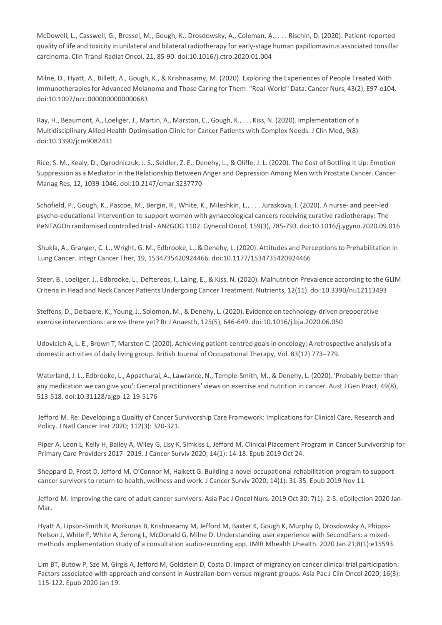McDowell, L., Casswell, G., Bressel, M., Gough, K., Drosdowsky, A., Coleman, A., . . . Rischin, D. (2020). Patient-reported quality of life and toxicity in unilateral and bilateral radiotherapy for early-stage human papillomavirus associated tonsillar carcinoma. Clin Transl Radiat Oncol, 21, 85-90. doi:10.1016/j.ctro.2020.01.004

Milne, D., Hyatt, A., Billett, A., Gough, K., & Krishnasamy, M. (2020). Exploring the Experiences of People Treated With Immunotherapiesfor Advanced Melanoma and Those Caring for Them: "Real-World" Data. Cancer Nurs, 43(2), E97-e104. doi:10.1097/ncc.0000000000000683

Ray, H., Beaumont, A., Loeliger, J., Martin, A., Marston, C., Gough, K., . . . Kiss, N. (2020). Implementation of a Multidisciplinary Allied Health Optimisation Clinic for Cancer Patients with Complex Needs. J Clin Med, 9(8). doi:10.3390/jcm9082431

Rice, S. M., Kealy, D., Ogrodniczuk, J. S., Seidler, Z. E., Denehy, L., & Oliffe, J. L. (2020). The Cost of Bottling It Up: Emotion Suppression as a Mediator in the Relationship Between Anger and Depression Among Men with Prostate Cancer. Cancer Manag Res, 12, 1039-1046. doi:10.2147/cmar.S237770

Schofield, P., Gough, K., Pascoe, M., Bergin, R., White, K., Mileshkin, L., . . . Juraskova, I. (2020). A nurse- and peer-led psycho-educational intervention to support women with gynaecological cancers receiving curative radiotherapy: The PeNTAGOn randomised controlled trial - ANZGOG 1102. Gynecol Oncol, 159(3), 785-793. doi:10.1016/j.ygyno.2020.09.016

Shukla, A., Granger, C. L., Wright, G. M., Edbrooke, L., & Denehy, L. (2020). Attitudes and Perceptionsto Prehabilitation in Lung Cancer. Integr Cancer Ther, 19, 1534735420924466. doi:10.1177/1534735420924466

Steer, B., Loeliger, J., Edbrooke, L., Deftereos, I., Laing, E., & Kiss, N. (2020). Malnutrition Prevalence according to the GLIM Criteria in Head and Neck Cancer Patients Undergoing Cancer Treatment. Nutrients, 12(11). doi:10.3390/nu12113493

Steffens, D., Delbaere, K., Young, J., Solomon, M., & Denehy, L. (2020). Evidence on technology-driven preoperative exercise interventions: are we there yet? Br J Anaesth, 125(5), 646-649. doi:10.1016/j.bja.2020.06.050

Udovicich A, L. E., Brown T, Marston C. (2020). Achieving patient-centred goals in oncology: A retrospective analysis of a domestic activities of daily living group. British Journal of Occupational Therapy, Vol. 83(12) 773–779.

Waterland, J. L., Edbrooke, L., Appathurai, A., Lawrance, N., Temple-Smith, M., & Denehy, L. (2020). 'Probably better than any medication we can give you': General practitioners' views on exercise and nutrition in cancer. Aust J Gen Pract, 49(8), 513-518. doi:10.31128/ajgp-12-19-5176

Jefford M. Re: Developing a Quality of Cancer Survivorship Care Framework: Implications for Clinical Care, Research and Policy. J Natl Cancer Inst 2020; 112(3): 320-321.

Piper A, Leon L, Kelly H, Bailey A, Wiley G, Lisy K, Simkiss L, Jefford M. Clinical Placement Program in Cancer Survivorship for Primary Care Providers 2017- 2019. J Cancer Surviv 2020; 14(1): 14-18. Epub 2019 Oct 24.

Sheppard D, Frost D, Jefford M, O'Connor M, Halkett G. Building a novel occupational rehabilitation program to support cancer survivors to return to health, wellness and work. J Cancer Surviv 2020; 14(1): 31-35. Epub 2019 Nov 11.

Jefford M. Improving the care of adult cancer survivors. Asia Pac J Oncol Nurs. 2019 Oct 30; 7(1): 2-5. eCollection 2020 Jan-Mar.

Hyatt A, Lipson-Smith R, Morkunas B, Krishnasamy M, Jefford M, Baxter K, Gough K, Murphy D, Drosdowsky A, Phipps-Nelson J, White F, White A, Serong L, McDonald G, Milne D. Understanding user experience with SecondEars: a mixedmethods implementation study of a consultation audio-recording app. JMIR Mhealth Uhealth. 2020 Jan 21;8(1):e15593.

Lim BT, Butow P, Sze M, Girgis A, Jefford M, Goldstein D, Costa D. Impact of migrancy on cancer clinical trial participation: Factors associated with approach and consent in Australian-born versus migrant groups. Asia Pac J Clin Oncol 2020; 16(3): 115-122. Epub 2020 Jan 19.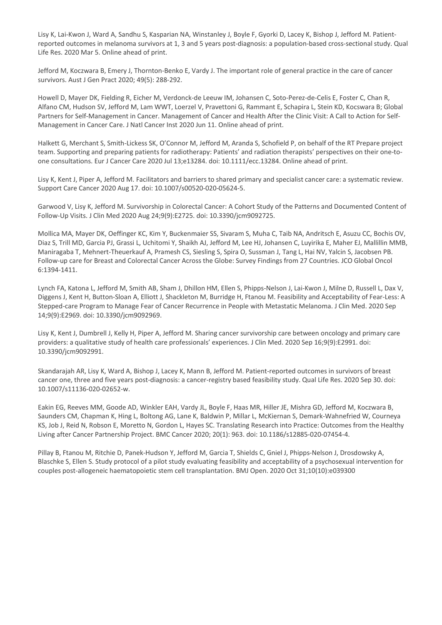Lisy K, Lai-Kwon J, Ward A, Sandhu S, Kasparian NA, Winstanley J, Boyle F, Gyorki D, Lacey K, Bishop J, Jefford M. Patientreported outcomes in melanoma survivors at 1, 3 and 5 years post-diagnosis: a population-based cross-sectional study. Qual Life Res. 2020 Mar 5. Online ahead of print.

Jefford M, Koczwara B, Emery J, Thornton-Benko E, Vardy J. The important role of general practice in the care of cancer survivors. Aust J Gen Pract 2020; 49(5): 288-292.

Howell D, Mayer DK, Fielding R, Eicher M, Verdonck-de Leeuw IM, Johansen C, Soto-Perez-de-Celis E, Foster C, Chan R, Alfano CM, Hudson SV, Jefford M, Lam WWT, Loerzel V, Pravettoni G, Rammant E, Schapira L, Stein KD, Kocswara B; Global Partners for Self-Management in Cancer. Management of Cancer and Health After the Clinic Visit: A Call to Action for Self-Management in Cancer Care. J Natl Cancer Inst 2020 Jun 11. Online ahead of print.

Halkett G, Merchant S, Smith-Lickess SK, O'Connor M, Jefford M, Aranda S, Schofield P, on behalf of the RT Prepare project team. Supporting and preparing patients for radiotherapy: Patients' and radiation therapists' perspectives on their one-toone consultations. Eur J Cancer Care 2020 Jul 13;e13284. doi: 10.1111/ecc.13284. Online ahead of print.

Lisy K, Kent J, Piper A, Jefford M. Facilitators and barriers to shared primary and specialist cancer care: a systematic review. Support Care Cancer 2020 Aug 17. doi: 10.1007/s00520-020-05624-5.

Garwood V, Lisy K, Jefford M. Survivorship in Colorectal Cancer: A Cohort Study of the Patterns and Documented Content of Follow-Up Visits. J Clin Med 2020 Aug 24;9(9):E2725. doi: 10.3390/jcm9092725.

Mollica MA, Mayer DK, Oeffinger KC, Kim Y, Buckenmaier SS, Sivaram S, Muha C, Taib NA, Andritsch E, Asuzu CC, Bochis OV, Diaz S, Trill MD, Garcia PJ, Grassi L, Uchitomi Y, Shaikh AJ, Jefford M, Lee HJ, Johansen C, Luyirika E, Maher EJ, Mallillin MMB, Maniragaba T, Mehnert-Theuerkauf A, Pramesh CS, Siesling S, Spira O, Sussman J, Tang L, Hai NV, Yalcin S, Jacobsen PB. Follow-up care for Breast and Colorectal Cancer Across the Globe: Survey Findings from 27 Countries. JCO Global Oncol 6:1394-1411.

Lynch FA, Katona L, Jefford M, Smith AB, Sham J, Dhillon HM, Ellen S, Phipps-Nelson J, Lai-Kwon J, Milne D, Russell L, Dax V, Diggens J, Kent H, Button-Sloan A, Elliott J, Shackleton M, Burridge H, Ftanou M. Feasibility and Acceptability of Fear-Less: A Stepped-care Program to Manage Fear of Cancer Recurrence in People with Metastatic Melanoma. J Clin Med. 2020 Sep 14;9(9):E2969. doi: 10.3390/jcm9092969.

Lisy K, Kent J, Dumbrell J, Kelly H, Piper A, Jefford M. Sharing cancer survivorship care between oncology and primary care providers: a qualitative study of health care professionals' experiences. J Clin Med. 2020 Sep 16;9(9):E2991. doi: 10.3390/jcm9092991.

Skandarajah AR, Lisy K, Ward A, Bishop J, Lacey K, Mann B, Jefford M. Patient-reported outcomes in survivors of breast cancer one, three and five years post-diagnosis: a cancer-registry based feasibility study. Qual Life Res. 2020 Sep 30. doi: 10.1007/s11136-020-02652-w.

Eakin EG, Reeves MM, Goode AD, Winkler EAH, Vardy JL, Boyle F, Haas MR, Hiller JE, Mishra GD, Jefford M, Koczwara B, Saunders CM, Chapman K, Hing L, Boltong AG, Lane K, Baldwin P, Millar L, McKiernan S, Demark-Wahnefried W, Courneya KS, Job J, Reid N, Robson E, Moretto N, Gordon L, Hayes SC. Translating Research into Practice: Outcomes from the Healthy Living after Cancer Partnership Project. BMC Cancer 2020; 20(1): 963. doi: 10.1186/s12885-020-07454-4.

Pillay B, Ftanou M, Ritchie D, Panek-Hudson Y, Jefford M, Garcia T, Shields C, Gniel J, Phipps-Nelson J, Drosdowsky A, Blaschke S, Ellen S. Study protocol of a pilot study evaluating feasibility and acceptability of a psychosexual intervention for couples post-allogeneic haematopoietic stem cell transplantation. BMJ Open. 2020 Oct 31;10(10):e039300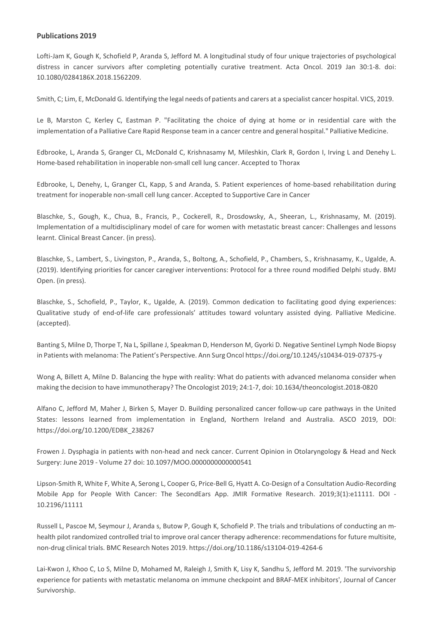Lofti-Jam K, Gough K, Schofield P, Aranda S, Jefford M. A longitudinal study of four unique trajectories of psychological distress in cancer survivors after completing potentially curative treatment. Acta [Oncol.](https://www.ncbi.nlm.nih.gov/pubmed/30698063) 2019 Jan 30:1-8. doi: 10.1080/0284186X.2018.1562209.

Smith, C; Lim, E, McDonald G. Identifying the legal needs of patients and carers at a specialist cancer hospital. VICS, 2019.

Le B, Marston C, Kerley C, Eastman P. "Facilitating the choice of dying at home or in residential care with the implementation of a Palliative Care Rapid Response team in a cancer centre and general hospital." Palliative Medicine.

Edbrooke, L, Aranda S, Granger CL, McDonald C, Krishnasamy M, Mileshkin, Clark R, Gordon I, Irving L and Denehy L. Home-based rehabilitation in inoperable non-small cell lung cancer. Accepted to Thorax

Edbrooke, L, Denehy, L, Granger CL, Kapp, S and Aranda, S. Patient experiences of home-based rehabilitation during treatment for inoperable non-small cell lung cancer. Accepted to Supportive Care in Cancer

Blaschke, S., Gough, K., Chua, B., Francis, P., Cockerell, R., Drosdowsky, A., Sheeran, L., Krishnasamy, M. (2019). Implementation of a multidisciplinary model of care for women with metastatic breast cancer: Challenges and lessons learnt. Clinical Breast Cancer. (in press).

Blaschke, S., Lambert, S., Livingston, P., Aranda, S., Boltong, A., Schofield, P., Chambers, S., Krishnasamy, K., Ugalde, A. (2019). Identifying priorities for cancer caregiver interventions: Protocol for a three round modified Delphi study. BMJ Open. (in press).

Blaschke, S., Schofield, P., Taylor, K., Ugalde, A. (2019). Common dedication to facilitating good dying experiences: Qualitative study of end-of-life care professionals' attitudes toward voluntary assisted dying. Palliative Medicine. (accepted).

Banting S, Milne D, Thorpe T, Na L, Spillane J, Speakman D, Henderson M, Gyorki D. Negative Sentinel Lymph Node Biopsy in Patients with melanoma: The Patient's Perspective. Ann Surg Oncol <https://doi.org/10.1245/s10434-019-07375-y>

Wong A, Billett A, Milne D. Balancing the hype with reality: What do patients with advanced melanoma consider when making the decision to have immunotherapy? The Oncologist 2019; 24:1-7, doi: 10.1634/theoncologist.2018-0820

Alfano C, Jefford M, Maher J, Birken S, Mayer D. Building personalized cancer follow-up care pathways in the United States: lessons learned from implementation in England, Northern Ireland and Australia. ASCO 2019, DOI: https://doi.org/10.1200/EDBK\_238267

Frowen J. Dysphagia in patients with non-head and neck cancer. Current Opinion in Otolaryngology & Head and Neck Surgery: June 2019 - [Volume](https://journals.lww.com/co-otolaryngology/pages/currenttoc.aspx) 27 doi: 10.1097/MOO.0000000000000541

Lipson-Smith R, White F, White A, Serong L, Cooper G, Price-Bell G, Hyatt A. Co-Design of a Consultation Audio-Recording Mobile App for People With Cancer: The SecondEars App. JMIR Formative Research. 2019;3(1):e11111. DOI - 10.2196/11111

Russell L, Pascoe M, Seymour J, Aranda s, Butow P, Gough K, Schofield P. The trials and tribulations of conducting an mhealth pilot randomized controlled trial to improve oral cancer therapy adherence: recommendations for future multisite, non-drug clinical trials. BMC Research Notes 2019. <https://doi.org/10.1186/s13104-019-4264-6>

Lai-Kwon J, Khoo C, Lo S, Milne D, Mohamed M, Raleigh J, Smith K, Lisy K, Sandhu S, Jefford M. 2019. 'The survivorship experience for patients with metastatic melanoma on immune checkpoint and BRAF-MEK inhibitors', Journal of Cancer Survivorship.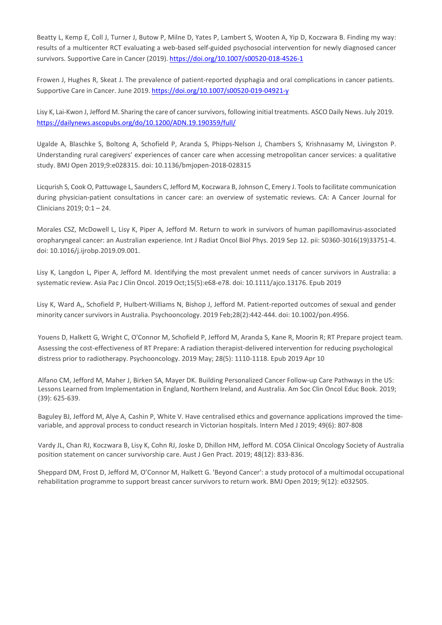Beatty L, Kemp E, Coll J, Turner J, Butow P, Milne D, Yates P, Lambert S, Wooten A, Yip D, Koczwara B. Finding my way: results of a multicenter RCT evaluating a web-based self-guided psychosocial intervention for newly diagnosed cancer survivors. Supportive Care in Cancer (2019). <https://doi.org/10.1007/s00520-018-4526-1>

Frowen J, Hughes R, Skeat J. The prevalence of patient-reported dysphagia and oral complications in cancer patients. Supportive Care in Cancer. June 2019. <https://doi.org/10.1007/s00520-019-04921-y>

Lisy K, Lai-Kwon J, Jefford M. Sharing the care of cancer survivors, following initial treatments. ASCO Daily News. July 2019. <https://dailynews.ascopubs.org/do/10.1200/ADN.19.190359/full/>

Ugalde A, Blaschke S, Boltong A, Schofield P, Aranda S, Phipps-Nelson J, Chambers S, Krishnasamy M, Livingston P. Understanding rural caregivers' experiences of cancer care when accessing metropolitan cancer services: a qualitative study. BMJ Open 2019;9:e028315. doi: 10.1136/bmjopen-2018-028315

Licqurish S, Cook O, Pattuwage L, Saunders C, Jefford M, Koczwara B, Johnson C, Emery J. Toolsto facilitate communication during physician-patient consultations in cancer care: an overview of systematic reviews. CA: A Cancer Journal for Clinicians 2019; 0:1 – 24.

Morales CSZ, McDowell L, Lisy K, Piper A, Jefford M. Return to work in survivors of human papillomavirus-associated oropharyngeal cancer: an Australian experience. [Int J Radiat Oncol Biol Phys. 2](https://www.ncbi.nlm.nih.gov/pubmed/31521718)019 Sep 12. pii: S0360-3016(19)33751-4. doi: 10.1016/j.ijrobp.2019.09.001.

Lisy K, Langdon L, Piper A, Jefford M. Identifying the most prevalent unmet needs of cancer survivors in Australia: a systematic review. Asia Pac J Clin [Oncol.](https://www.ncbi.nlm.nih.gov/pubmed/31215167) 2019 Oct;15(5):e68-e78. doi: 10.1111/ajco.13176. Epub 2019

Lisy K, Ward A,, Schofield P, Hulbert-Williams N, Bishop J, Jefford M. Patient-reported outcomes of sexual and gender minority cancer survivors in Australia. [Psychooncology.](https://www.ncbi.nlm.nih.gov/pubmed/30511405) 2019 Feb;28(2):442-444. doi: 10.1002/pon.4956.

Youens D, Halkett G, Wright C, O'Connor M, Schofield P, Jefford M, Aranda S, Kane R, Moorin R; RT Prepare project team. Assessing the cost-effectiveness of RT Prepare: A radiation therapist-delivered intervention for reducing psychological distress prior to radiotherapy. Psychooncology. 2019 May; 28(5): 1110-1118. Epub 2019 Apr 10

Alfano CM, Jefford M, Maher J, Birken SA, Mayer DK. Building Personalized Cancer Follow-up Care Pathways in the US: Lessons Learned from Implementation in England, Northern Ireland, and Australia. Am Soc Clin Oncol Educ Book. 2019; (39): 625-639.

Baguley BJ, Jefford M, Alye A, Cashin P, White V. Have centralised ethics and governance applications improved the timevariable, and approval process to conduct research in Victorian hospitals. Intern Med J 2019; 49(6): 807-808

Vardy JL, Chan RJ, Koczwara B, Lisy K, Cohn RJ, Joske D, Dhillon HM, Jefford M. COSA Clinical Oncology Society of Australia position statement on cancer survivorship care. Aust J Gen Pract. 2019; 48(12): 833-836.

Sheppard DM, Frost D, Jefford M, O'Connor M, Halkett G. 'Beyond Cancer': a study protocol of a multimodal occupational rehabilitation programme to support breast cancer survivors to return work. BMJ Open 2019; 9(12): e032505.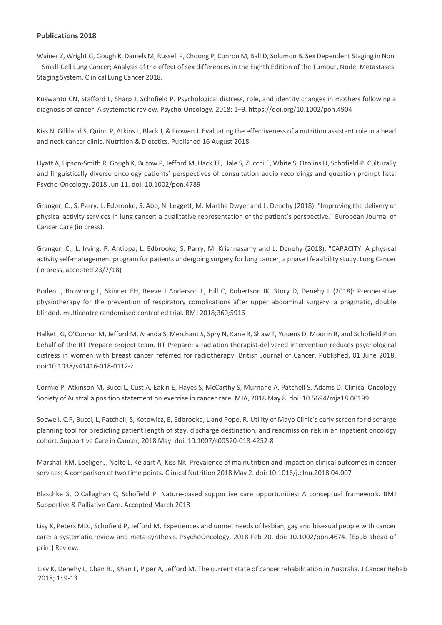Wainer Z, Wright G, Gough K, Daniels M, Russell P, Choong P, Conron M, Ball D, Solomon B. Sex Dependent Staging in Non – Small-Cell Lung Cancer; Analysis of the effect ofsex differences in the Eighth Edition of the Tumour, Node, Metastases Staging System. Clinical Lung Cancer 2018.

Kuswanto CN, Stafford L, Sharp J, Schofield P. Psychological distress, role, and identity changes in mothers following a diagnosis of cancer: A systematic review. Psycho-Oncology. 2018; 1–9. [https://doi.org/10.1002/p](https://doi.org/10.1002/)on.4904

Kiss N, Gilliland S, Quinn P, Atkins L, Black J, & Frowen J. Evaluating the effectiveness of a nutrition assistant role in a head and neck cancer clinic. Nutrition & Dietetics. Published 16 August 2018.

Hyatt A, Lipson-Smith R, Gough K, Butow P, Jefford M, Hack TF, Hale S, Zucchi E, White S, Ozolins U, Schofield P. Culturally and linguistically diverse oncology patients' perspectives of consultation audio recordings and question prompt lists. Psycho-Oncology. 2018 Jun 11. doi: 10.1002/pon.4789

Granger, C., S. Parry, L. Edbrooke, S. Abo, N. Leggett, M. Martha Dwyer and L. Denehy (2018). "Improving the delivery of physical activity services in lung cancer: a qualitative representation of the patient's perspective." European Journal of Cancer Care (in press).

Granger, C., L. Irving, P. Antippa, L. Edbrooke, S. Parry, M. Krishnasamy and L. Denehy (2018). "CAPACITY: A physical activity self-management program for patients undergoing surgery for lung cancer, a phase I feasibility study. Lung Cancer (in press, accepted 23/7/18)

Boden I, Browning L, Skinner EH, Reeve J Anderson L, Hill C, Robertson IK, Story D, Denehy L (2018): Preoperative physiotherapy for the prevention of respiratory complications after upper abdominal surgery: a pragmatic, double blinded, multicentre randomised controlled trial. BMJ 2018;360;5916

Halkett G, O'Connor M, Jefford M, Aranda S, Merchant S, Spry N, Kane R, Shaw T, Youens D, Moorin R, and Schofield P on behalf of the RT Prepare project team. RT Prepare: a radiation therapist-delivered intervention reduces psychological distress in women with breast cancer referred for radiotherapy. British Journal of Cancer. Published, 01 June 2018, doi:10.1038/s41416-018-0112-z

Cormie P, Atkinson M, Bucci L, Cust A, Eakin E, Hayes S, McCarthy S, Murnane A, Patchell S, Adams D. Clinical Oncology Society of Australia position statement on exercise in cancer care. MJA, 2018 May 8. doi: 10.5694/mja18.00199

Socwell, C.P, Bucci, L, Patchell, S, Kotowicz, E, Edbrooke, L and Pope, R. Utility of Mayo Clinic's early screen for discharge planning tool for predicting patient length of stay, discharge destination, and readmission risk in an inpatient oncology cohort. Supportive Care in Cancer, 2018 May. doi: 10.1007/s00520-018-4252-8

Marshall KM, Loeliger J, Nolte L, Kelaart A, Kiss NK. Prevalence of malnutrition and impact on clinical outcomes in cancer services: A comparison of two time points. Clinical Nutrition 2018 May 2. doi: 10.1016/j.clnu.2018.04.007

Blaschke S, O'Callaghan C, Schofield P. Nature-based supportive care opportunities: A conceptual framework. BMJ Supportive & Palliative Care. Accepted March 2018

Lisy K, Peters MDJ, Schofield P, Jefford M. Experiences and unmet needs of lesbian, gay and bisexual people with cancer care: a systematic review and meta-synthesis. PsychoOncology. 2018 Feb 20. doi: 10.1002/pon.4674. [Epub ahead of print] Review.

Lisy K, Denehy L, Chan RJ, Khan F, Piper A, Jefford M. The current state of cancer rehabilitation in Australia. J Cancer Rehab 2018; 1: 9-13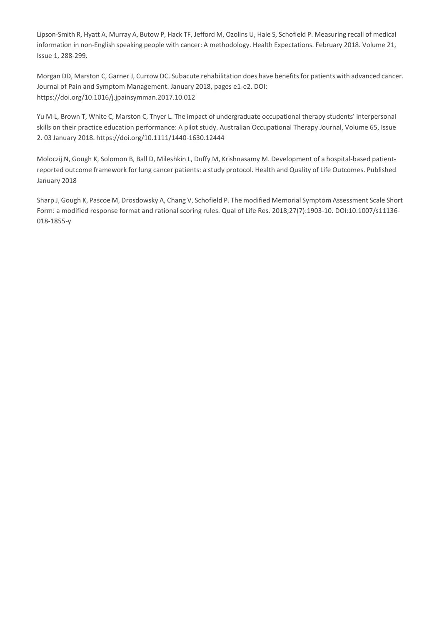Lipson-Smith R, Hyatt A, Murray A, Butow P, Hack TF, Jefford M, Ozolins U, Hale S, Schofield P. Measuring recall of medical information in non-English speaking people with cancer: A methodology. Health Expectations. February 2018. Volume 21, Issue 1, 288-299.

Morgan DD, Marston C, Garner J, Currow DC. Subacute rehabilitation does have benefits for patients with advanced cancer. Journal of Pain and Symptom Management. January 2018, pages e1-e2. DOI: <https://doi.org/10.1016/j.jpainsymman.2017.10.012>

Yu M-L, Brown T, White C, Marston C, Thyer L. The impact of undergraduate occupational therapy students' interpersonal skills on their practice education performance: A pilot study. Australian Occupational Therapy Journal, Volume 65, Issue 2. 03 January 2018. <https://doi.org/10.1111/1440-1630.12444>

Moloczij N, Gough K, Solomon B, Ball D, Mileshkin L, Duffy M, Krishnasamy M. Development of a hospital-based patientreported outcome framework for lung cancer patients: a study protocol. Health and Quality of Life Outcomes. Published January 2018

Sharp J, Gough K, Pascoe M, Drosdowsky A, Chang V, Schofield P. The modified Memorial Symptom Assessment Scale Short Form: a modified response format and rational scoring rules. Qual of Life Res. 2018;27(7):1903-10. DO[I:10.1007/s11136-](https://doi.org/10.1007/s11136-018-1855-y) [018-1855-y](https://doi.org/10.1007/s11136-018-1855-y)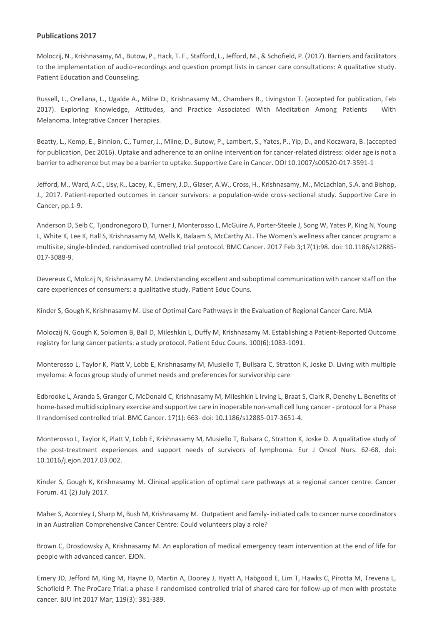Moloczij, N., Krishnasamy, M., Butow, P., Hack, T. F., Stafford, L., Jefford, M., & Schofield, P. (2017). Barriers and facilitators to the implementation of audio-recordings and question prompt lists in cancer care consultations: A qualitative study. Patient Education and Counseling.

Russell, L., Orellana, L., Ugalde A., Milne D., Krishnasamy M., Chambers R., Livingston T. (accepted for publication, Feb 2017). Exploring Knowledge, Attitudes, and Practice Associated With Meditation Among Patients With Melanoma. Integrative Cancer Therapies.

Beatty, L., Kemp, E., Binnion, C., Turner, J., Milne, D., Butow, P., Lambert, S., Yates, P., Yip, D., and Koczwara, B. (accepted for publication, Dec 2016). Uptake and adherence to an online intervention for cancer-related distress: older age is not a barrier to adherence but may be a barrier to uptake. Supportive Care in Cancer. DOI 10.1007/s00520-017-3591-1

Jefford, M., Ward, A.C., Lisy, K., Lacey, K., Emery, J.D., Glaser, A.W., Cross, H., Krishnasamy, M., McLachlan, S.A. and Bishop, J., 2017. Patient-reported outcomes in cancer survivors: a population-wide cross-sectional study. Supportive Care in Cancer, pp.1-9.

Anderson D, Seib C, Tjondronegoro D, Turner J, Monterosso L, McGuire A, Porter-Steele J, Song W, Yates P, King N, Young L, White K, Lee K, Hall S, Krishnasamy M, Wells K, Balaam S, McCarthy AL. The Women's wellness after cancer program: a multisite, single-blinded, randomised controlled trial protocol. BMC Cancer. 2017 Feb 3;17(1):98. doi: 10.1186/s12885-017-3088-9.

Devereux C, Molczij N, Krishnasamy M. Understanding excellent and suboptimal communication with cancer staff on the care experiences of consumers: a qualitative study. Patient Educ Couns.

Kinder S, Gough K, Krishnasamy M. Use of Optimal Care Pathwaysin the Evaluation of Regional Cancer Care. MJA

Moloczij N, Gough K, Solomon B, Ball D, Mileshkin L, Duffy M, Krishnasamy M. Establishing a Patient-Reported Outcome registry for lung cancer patients: a study protocol. Patient Educ Couns. 100(6):1083-1091.

Monterosso L, Taylor K, Platt V, Lobb E, Krishnasamy M, Musiello T, Bullsara C, Stratton K, Joske D. Living with multiple myeloma: A focus group study of unmet needs and preferences for survivorship care

Edbrooke L, Aranda S, Granger C, McDonald C, Krishnasamy M, Mileshkin L Irving L, Braat S, Clark R, Denehy L. Benefits of home-based multidisciplinary exercise and supportive care in inoperable non-small cell lung cancer - protocol for a Phase II randomised controlled trial. BMC Cancer. 17(1): 663- doi: 10.1186/s12885-017-3651-4.

Monterosso L, Taylor K, Platt V, Lobb E, Krishnasamy M, Musiello T, Bulsara C, Stratton K, Joske D. A qualitative study of the post-treatment experiences and support needs of survivors of lymphoma. Eur J Oncol Nurs. 62-68. doi: 10.1016/j.ejon.2017.03.002.

Kinder S, Gough K, Krishnasamy M. Clinical application of optimal care pathways at a regional cancer centre. Cancer Forum. 41 (2) July 2017.

Maher S, Acornley J, Sharp M, Bush M, Krishnasamy M. Outpatient and family- initiated calls to cancer nurse coordinators in an Australian Comprehensive Cancer Centre: Could volunteers play a role?

Brown C, Drosdowsky A, Krishnasamy M. An exploration of medical emergency team intervention at the end of life for people with advanced cancer. EJON.

Emery JD, Jefford M, King M, Hayne D, Martin A, Doorey J, Hyatt A, Habgood E, Lim T, Hawks C, Pirotta M, Trevena L, Schofield P. The ProCare Trial: a phase II randomised controlled trial of shared care for follow-up of men with prostate cancer. BJU Int 2017 Mar; 119(3): 381-389.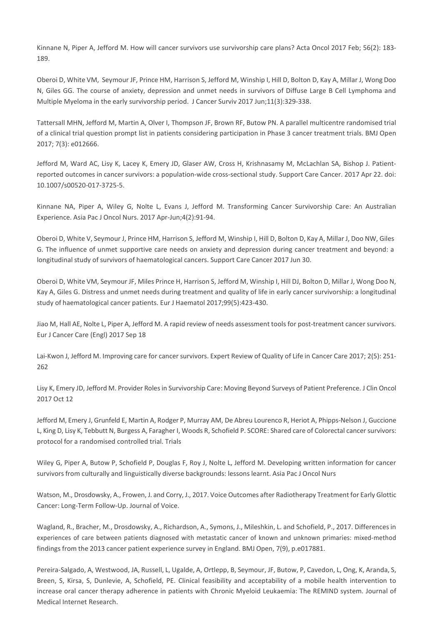Kinnane N, Piper A, Jefford M. How will cancer survivors use survivorship care plans? Acta Oncol 2017 Feb; 56(2): 183- 189.

Oberoi D, White VM, Seymour JF, Prince HM, Harrison S, Jefford M, Winship I, Hill D, Bolton D, Kay A, Millar J, Wong Doo N, Giles GG. The course of anxiety, depression and unmet needs in survivors of Diffuse Large B Cell Lymphoma and Multiple Myeloma in the early survivorship period. J Cancer Surviv 2017 Jun;11(3):329-338.

Tattersall MHN, Jefford M, Martin A, Olver I, Thompson JF, Brown RF, Butow PN. A parallel multicentre randomised trial of a clinical trial question prompt list in patients considering participation in Phase 3 cancer treatment trials. BMJ Open 2017; 7(3): e012666.

Jefford M, Ward AC, Lisy K, Lacey K, Emery JD, Glaser AW, Cross H, Krishnasamy M, McLachlan SA, Bishop J. Patientreported outcomes in cancer survivors: a population-wide cross-sectional study. Support Care Cancer. 2017 Apr 22. doi: 10.1007/s00520-017-3725-5.

Kinnane NA, Piper A, Wiley G, Nolte L, Evans J, Jefford M. Transforming Cancer Survivorship Care: An Australian Experience. Asia Pac J Oncol Nurs. 2017 Apr-Jun;4(2):91-94.

Oberoi D, White V, Seymour J, Prince HM, Harrison S, Jefford M, Winship I, Hill D, Bolton D, Kay A, Millar J, Doo NW, Giles G. The influence of unmet supportive care needs on anxiety and depression during cancer treatment and beyond: a longitudinal study of survivors of haematological cancers. Support Care Cancer 2017 Jun 30.

Oberoi D, White VM, Seymour JF, Miles Prince H, Harrison S, Jefford M, Winship I, Hill DJ, Bolton D, Millar J, Wong Doo N, Kay A, Giles G. Distress and unmet needs during treatment and quality of life in early cancer survivorship: a longitudinal study of haematological cancer patients. Eur J Haematol 2017;99(5):423-430.

Jiao M, Hall AE, Nolte L, Piper A, Jefford M. A rapid review of needs assessment tools for post-treatment cancer survivors. Eur J Cancer Care (Engl) 2017 Sep 18

Lai-Kwon J, Jefford M. Improving care for cancer survivors. Expert Review of Quality of Life in Cancer Care 2017; 2(5): 251- 262

Lisy K, Emery JD, Jefford M. Provider Rolesin Survivorship Care: Moving Beyond Surveys of Patient Preference. J Clin Oncol 2017 Oct 12

Jefford M, Emery J, Grunfeld E, Martin A, Rodger P, Murray AM, De Abreu Lourenco R, Heriot A, Phipps-Nelson J, Guccione L, King D, Lisy K, Tebbutt N, Burgess A, Faragher I, Woods R, Schofield P. SCORE: Shared care of Colorectal cancer survivors: protocol for a randomised controlled trial. Trials

Wiley G, Piper A, Butow P, Schofield P, Douglas F, Roy J, Nolte L, Jefford M. Developing written information for cancer survivors from culturally and linguistically diverse backgrounds: lessons learnt. Asia Pac J Oncol Nurs

Watson, M., Drosdowsky, A., Frowen, J. and Corry, J., 2017. Voice Outcomes after Radiotherapy Treatment for Early Glottic Cancer: Long-Term Follow-Up. Journal of Voice.

Wagland, R., Bracher, M., Drosdowsky, A., Richardson, A., Symons, J., Mileshkin, L. and Schofield, P., 2017. Differencesin experiences of care between patients diagnosed with metastatic cancer of known and unknown primaries: mixed-method findings from the 2013 cancer patient experience survey in England. BMJ Open, 7(9), p.e017881.

Pereira-Salgado, A, Westwood, JA, Russell, L, Ugalde, A, Ortlepp, B, Seymour, JF, Butow, P, Cavedon, L, Ong, K, Aranda, S, Breen, S, Kirsa, S, Dunlevie, A, Schofield, PE. Clinical feasibility and acceptability of a mobile health intervention to increase oral cancer therapy adherence in patients with Chronic Myeloid Leukaemia: The REMIND system. Journal of Medical Internet Research.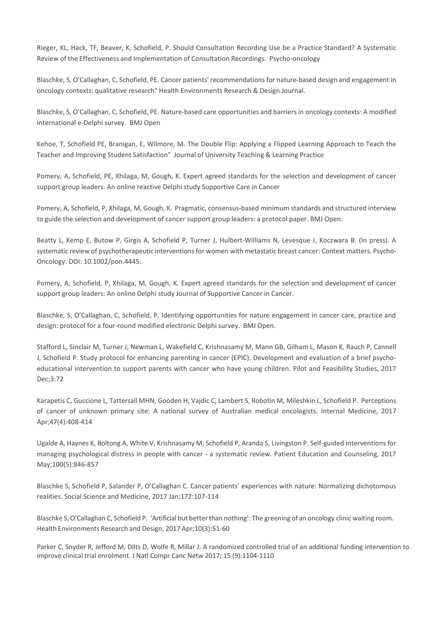Rieger, KL, Hack, TF, Beaver, K, Schofield, P. Should Consultation Recording Use be a Practice Standard? A Systematic Review of the Effectiveness and Implementation of Consultation Recordings. Psycho-oncology

Blaschke, S, O'Callaghan, C, Schofield, PE. Cancer patients' recommendations for nature-based design and engagement in oncology contexts: qualitative research" Health Environments Research & Design Journal.

Blaschke, S, O'Callaghan, C, Schofield, PE. Nature-based care opportunities and barriers in oncology contexts: A modified international e-Delphi survey. BMJ Open

Kehoe, T, Schofield PE, Branigan, E, Wilmore, M. The Double Flip: Applying a Flipped Learning Approach to Teach the Teacher and Improving Student Satisfaction" Journal of University Teaching & Learning Practice

Pomery, A, Schofield, PE, Xhilaga, M, Gough, K. Expert agreed standards for the selection and development of cancer support group leaders: An online reactive Delphi study Supportive Care in Cancer

Pomery, A, Schofield, P, Xhilaga, M, Gough, K. Pragmatic, consensus-based minimum standards and structured interview to guide the selection and development of cancer support group leaders: a protocol paper. BMJ Open.

Beatty L, Kemp E, Butow P, Girgis A, Schofield P, Turner J, Hulbert-Williams N, Levesque J, Koczwara B. (In press). A systematic review of psychotherapeutic interventions for women with metastatic breast cancer: Context matters. Psycho-Oncology. DOI: 10.1002/pon.4445.

Pomery, A, Schofield, P, Xhilaga, M, Gough, K. Expert agreed standards for the selection and development of cancer support group leaders: An online Delphi study Journal of Supportive Cancer in Cancer.

Blaschke, S, O'Callaghan, C, Schofield, P. Identifying opportunities for nature engagement in cancer care, practice and design: protocol for a four-round modified electronic Delphi survey. BMJ Open.

Stafford L, Sinclair M, Turner J, Newman L, Wakefield C, Krishnasamy M, Mann GB, Gilham L, Mason K, Rauch P, Cannell J, Schofield P. Study protocol for enhancing parenting in cancer (EPIC): Development and evaluation of a brief psychoeducational intervention to support parents with cancer who have young children. Pilot and Feasibility Studies, 2017 Dec;3:72

Karapetis C, Guccione L, Tattersall MHN, Gooden H, Vajdic C, Lambert S, Robotin M, Mileshkin L, Schofield P. Perceptions of cancer of unknown primary site: A national survey of Australian medical oncologists. Internal Medicine, 2017 Apr;47(4):408-414

Ugalde A, Haynes K, Boltong A, White V, Krishnasamy M, Schofield P, Aranda S, Livingston P. Self-guided interventions for managing psychological distress in people with cancer - a systematic review. Patient Education and Counseling, 2017 May;100(5):846-857

Blaschke S, Schofield P, Salander P, O'Callaghan C. Cancer patients' experiences with nature: Normalizing dichotomous realities. Social Science and Medicine, 2017 Jan;172:107-114

Blaschke S, O'Callaghan C, Schofield P. 'Artificial but better than nothing': The greening of an oncology clinic waiting room. Health Environments Research and Design, 2017 Apr;10(3):51-60

Parker C, Snyder R, Jefford M, Dilts D, Wolfe R, Millar J. A randomized controlled trial of an additional funding intervention to improve clinical trial enrolment. J Natl Compr Canc Netw 2017; 15 (9):1104-1110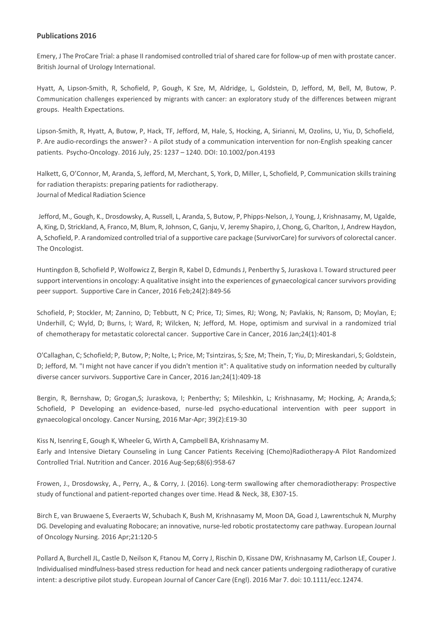Emery, J The ProCare Trial: a phase II randomised controlled trial ofshared care for follow-up of men with prostate cancer. British Journal of Urology International.

Hyatt, A, Lipson-Smith, R, Schofield, P, Gough, K Sze, M, Aldridge, L, Goldstein, D, Jefford, M, Bell, M, Butow, P. Communication challenges experienced by migrants with cancer: an exploratory study of the differences between migrant groups. Health Expectations.

Lipson-Smith, R, Hyatt, A, Butow, P, Hack, TF, Jefford, M, Hale, S, Hocking, A, Sirianni, M, Ozolins, U, Yiu, D, Schofield, P. Are audio-recordings the answer? - A pilot study of a communication intervention for non-English speaking cancer patients. Psycho-Oncology. 2016 July, 25: 1237 – 1240. DOI: 10.1002/pon.4193

Halkett, G, O'Connor, M, Aranda, S, Jefford, M, Merchant, S, York, D, Miller, L, Schofield, P, Communication skillstraining for radiation therapists: preparing patients for radiotherapy. Journal of Medical Radiation Science

Jefford, M., Gough, K., Drosdowsky, A, Russell, L, Aranda, S, Butow, P, Phipps-Nelson, J, Young, J, Krishnasamy, M, Ugalde, A, King, D, Strickland, A, Franco, M, Blum, R, Johnson, C, Ganju, V, Jeremy Shapiro, J, Chong, G, Charlton, J, Andrew Haydon, A, Schofield, P. A randomized controlled trial of a supportive care package (SurvivorCare) forsurvivors of colorectal cancer. The Oncologist.

Huntingdon B, Schofield P, Wolfowicz Z, Bergin R, Kabel D, Edmunds J, Penberthy S, Juraskova I. Toward structured peer support interventions in oncology: A qualitative insight into the experiences of gynaecological cancer survivors providing peer support. Supportive Care in Cancer, 2016 Feb;24(2):849-56

Schofield, P; Stockler, M; Zannino, D; Tebbutt, N C; Price, TJ; Simes, RJ; Wong, N; Pavlakis, N; Ransom, D; Moylan, E; Underhill, C; Wyld, D; Burns, I; Ward, R; Wilcken, N; Jefford, M. Hope, optimism and survival in a randomized trial of chemotherapy for metastatic colorectal cancer. Supportive Care in Cancer, 2016 Jan;24(1):401-8

O'Callaghan, C; Schofield; P, Butow, P; Nolte, L; Price, M; Tsintziras, S; Sze, M; Thein, T; Yiu, D; Mireskandari, S; Goldstein, D; Jefford, M. "I might not have cancer if you didn't mention it": A qualitative study on information needed by culturally diverse cancer survivors. Supportive Care in Cancer, 2016 Jan;24(1):409-18

Bergin, R, Bernshaw, D; Grogan,S; Juraskova, I; Penberthy; S; Mileshkin, L; Krishnasamy, M; Hocking, A; Aranda,S; Schofield, P Developing an evidence-based, nurse-led psycho-educational intervention with peer support in gynaecological oncology. Cancer Nursing, 2016 Mar-Apr; 39(2):E19-30

Kiss N, Isenring E, Gough K, Wheeler G, Wirth A, Campbell BA, Krishnasamy M. [Early and Intensive Dietary Counseling in Lung Cancer Patients Receiving \(Chemo\)Radiotherapy-A Pilot Randomized](http://www.ncbi.nlm.nih.gov/pubmed/27348253) [Controlled Trial.](http://www.ncbi.nlm.nih.gov/pubmed/27348253) Nutrition and Cancer. 2016 Aug-Sep;68(6):958-67

Frowen, J., Drosdowsky, A., Perry, A., & Corry, J. (2016). Long-term swallowing after chemoradiotherapy: Prospective study of functional and patient-reported changes over time. Head & Neck, 38, E307-15.

Birch E, van Bruwaene S, Everaerts W, Schubach K, Bush M, Krishnasamy M, Moon DA, Goad J, Lawrentschuk N, Murphy DG. Developing and evaluating Robocare; an innovative, nurse-led robotic [prostatectomy](http://www.ncbi.nlm.nih.gov/pubmed/26952687) care pathway. European Journal of Oncology Nursing. 2016 Apr;21:120-5

Pollard A, Burchell JL, Castle D, Neilson K, Ftanou M, Corry J, Rischin D, Kissane DW, Krishnasamy M, Carlson LE, Couper J. Individualised [mindfulness-based](http://www.ncbi.nlm.nih.gov/pubmed/26947583) stress reduction for head and neck cancer patients undergoing radiotherapy of curative intent: a [descriptive](http://www.ncbi.nlm.nih.gov/pubmed/26947583) pilot study. European Journal of Cancer Care (Engl). 2016 Mar 7. doi: 10.1111/ecc.12474.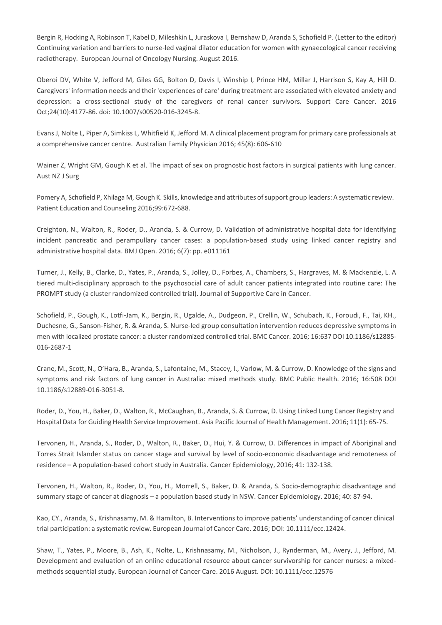Bergin R, Hocking A, Robinson T, Kabel D, Mileshkin L, Juraskova I, Bernshaw D, Aranda S, Schofield P. (Letter to the editor) Continuing variation and barriers to nurse-led vaginal dilator education for women with gynaecological cancer receiving radiotherapy. European Journal of Oncology Nursing. August 2016.

Oberoi DV, White V, Jefford M, Giles GG, Bolton D, Davis I, Winship I, Prince HM, Millar J, Harrison S, Kay A, Hill D. Caregivers' information needs and their 'experiences of care' during treatment are associated with elevated anxiety and depression: a cross-sectional study of the caregivers of renal cancer survivors. Support Care Cancer. 2016 Oct;24(10):4177-86. doi: 10.1007/s00520-016-3245-8.

Evans J, Nolte L, Piper A, Simkiss L, Whitfield K, Jefford M. A clinical placement program for primary care professionals at a comprehensive cancer centre. Australian Family Physician 2016; 45(8): 606-610

Wainer Z, Wright GM, Gough K et al. The impact of sex on prognostic host factors in surgical patients with lung cancer. Aust NZ J Surg

Pomery A, Schofield P, Xhilaga M, Gough K. Skills, knowledge and attributes ofsupport group leaders: A systematic review. Patient Education and Counseling 2016;99:672-688.

Creighton, N., Walton, R., Roder, D., Aranda, S. & Currow, D. Validation of administrative hospital data for identifying incident pancreatic and perampullary cancer cases: a population-based study using linked cancer registry and administrative hospital data. BMJ Open. 2016; 6(7): pp. e011161

Turner, J., Kelly, B., Clarke, D., Yates, P., Aranda, S., Jolley, D., Forbes, A., Chambers, S., Hargraves, M. & Mackenzie, L. A tiered multi-disciplinary approach to the psychosocial care of adult cancer patients integrated into routine care: The PROMPT study (a cluster randomized controlled trial). Journal of Supportive Care in Cancer.

Schofield, P., Gough, K., Lotfi-Jam, K., Bergin, R., Ugalde, A., Dudgeon, P., Crellin, W., Schubach, K., Foroudi, F., Tai, KH., Duchesne, G., Sanson-Fisher, R. & Aranda, S. Nurse-led group consultation intervention reduces depressive symptoms in men with localized prostate cancer: a cluster randomized controlled trial. BMC Cancer. 2016; 16:637 DOI 10.1186/s12885-016-2687-1

Crane, M., Scott, N., O'Hara, B., Aranda, S., Lafontaine, M., Stacey, I., Varlow, M. & Currow, D. Knowledge of the signs and symptoms and risk factors of lung cancer in Australia: mixed methods study. BMC Public Health. 2016; 16:508 DOI 10.1186/s12889-016-3051-8.

Roder, D., You, H., Baker, D., Walton, R., McCaughan, B., Aranda, S. & Currow, D. Using Linked Lung Cancer Registry and Hospital Data for Guiding Health Service Improvement. Asia Pacific Journal of Health Management. 2016; 11(1): 65-75.

Tervonen, H., Aranda, S., Roder, D., Walton, R., Baker, D., Hui, Y. & Currow, D. Differences in impact of Aboriginal and Torres Strait Islander status on cancer stage and survival by level of socio-economic disadvantage and remoteness of residence – A population-based cohort study in Australia. Cancer Epidemiology, 2016; 41: 132-138.

Tervonen, H., Walton, R., Roder, D., You, H., Morrell, S., Baker, D. & Aranda, S. Socio-demographic disadvantage and summary stage of cancer at diagnosis – a population based study in NSW. Cancer Epidemiology. 2016; 40: 87-94.

Kao, CY., Aranda, S., Krishnasamy, M. & Hamilton, B. Interventions to improve patients' understanding of cancer clinical trial participation: a systematic review. European Journal of Cancer Care. 2016; DOI: 10.1111/ecc.12424.

Shaw, T., Yates, P., Moore, B., Ash, K., Nolte, L., Krishnasamy, M., Nicholson, J., Rynderman, M., Avery, J., Jefford, M. Development and evaluation of an online educational resource about cancer survivorship for cancer nurses: a mixedmethods sequential study. European Journal of Cancer Care. 2016 August. DOI: 10.1111/ecc.12576